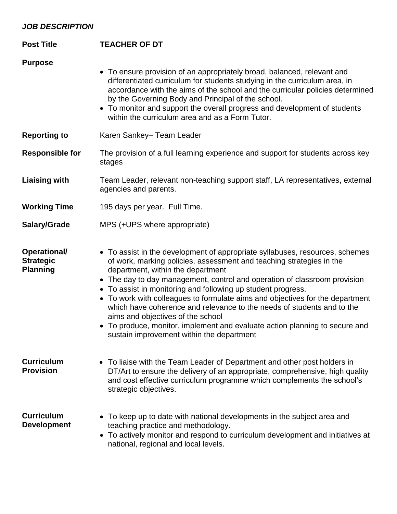## *JOB DESCRIPTION*

| <b>Post Title</b>                                   | <b>TEACHER OF DT</b>                                                                                                                                                                                                                                                                                                                                                                                                                                                                                                                                                                                                                                               |
|-----------------------------------------------------|--------------------------------------------------------------------------------------------------------------------------------------------------------------------------------------------------------------------------------------------------------------------------------------------------------------------------------------------------------------------------------------------------------------------------------------------------------------------------------------------------------------------------------------------------------------------------------------------------------------------------------------------------------------------|
| <b>Purpose</b>                                      | • To ensure provision of an appropriately broad, balanced, relevant and<br>differentiated curriculum for students studying in the curriculum area, in<br>accordance with the aims of the school and the curricular policies determined<br>by the Governing Body and Principal of the school.<br>• To monitor and support the overall progress and development of students<br>within the curriculum area and as a Form Tutor.                                                                                                                                                                                                                                       |
| <b>Reporting to</b>                                 | Karen Sankey- Team Leader                                                                                                                                                                                                                                                                                                                                                                                                                                                                                                                                                                                                                                          |
| <b>Responsible for</b>                              | The provision of a full learning experience and support for students across key<br>stages                                                                                                                                                                                                                                                                                                                                                                                                                                                                                                                                                                          |
| <b>Liaising with</b>                                | Team Leader, relevant non-teaching support staff, LA representatives, external<br>agencies and parents.                                                                                                                                                                                                                                                                                                                                                                                                                                                                                                                                                            |
| <b>Working Time</b>                                 | 195 days per year. Full Time.                                                                                                                                                                                                                                                                                                                                                                                                                                                                                                                                                                                                                                      |
| Salary/Grade                                        | MPS (+UPS where appropriate)                                                                                                                                                                                                                                                                                                                                                                                                                                                                                                                                                                                                                                       |
| Operational/<br><b>Strategic</b><br><b>Planning</b> | • To assist in the development of appropriate syllabuses, resources, schemes<br>of work, marking policies, assessment and teaching strategies in the<br>department, within the department<br>• The day to day management, control and operation of classroom provision<br>• To assist in monitoring and following up student progress.<br>• To work with colleagues to formulate aims and objectives for the department<br>which have coherence and relevance to the needs of students and to the<br>aims and objectives of the school<br>• To produce, monitor, implement and evaluate action planning to secure and<br>sustain improvement within the department |
| <b>Curriculum</b><br><b>Provision</b>               | • To liaise with the Team Leader of Department and other post holders in<br>DT/Art to ensure the delivery of an appropriate, comprehensive, high quality<br>and cost effective curriculum programme which complements the school's<br>strategic objectives.                                                                                                                                                                                                                                                                                                                                                                                                        |
| <b>Curriculum</b><br><b>Development</b>             | • To keep up to date with national developments in the subject area and<br>teaching practice and methodology.<br>• To actively monitor and respond to curriculum development and initiatives at<br>national, regional and local levels.                                                                                                                                                                                                                                                                                                                                                                                                                            |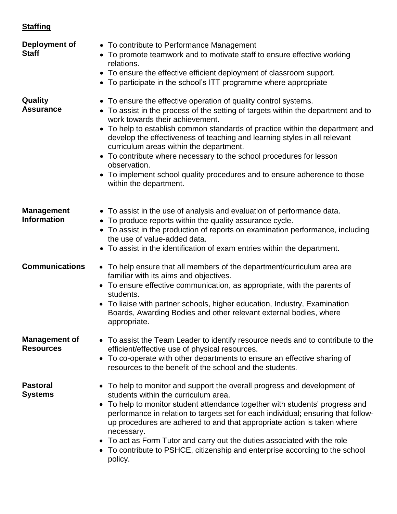## **Staffing**

| Deployment of<br><b>Staff</b>            | • To contribute to Performance Management<br>• To promote teamwork and to motivate staff to ensure effective working<br>relations.<br>• To ensure the effective efficient deployment of classroom support.<br>• To participate in the school's ITT programme where appropriate                                                                                                                                                                                                                                                                                                                 |
|------------------------------------------|------------------------------------------------------------------------------------------------------------------------------------------------------------------------------------------------------------------------------------------------------------------------------------------------------------------------------------------------------------------------------------------------------------------------------------------------------------------------------------------------------------------------------------------------------------------------------------------------|
| Quality<br><b>Assurance</b>              | • To ensure the effective operation of quality control systems.<br>• To assist in the process of the setting of targets within the department and to<br>work towards their achievement.<br>• To help to establish common standards of practice within the department and<br>develop the effectiveness of teaching and learning styles in all relevant<br>curriculum areas within the department.<br>• To contribute where necessary to the school procedures for lesson<br>observation.<br>• To implement school quality procedures and to ensure adherence to those<br>within the department. |
| <b>Management</b><br><b>Information</b>  | • To assist in the use of analysis and evaluation of performance data.<br>• To produce reports within the quality assurance cycle.<br>• To assist in the production of reports on examination performance, including<br>the use of value-added data.<br>• To assist in the identification of exam entries within the department.                                                                                                                                                                                                                                                               |
| <b>Communications</b>                    | • To help ensure that all members of the department/curriculum area are<br>familiar with its aims and objectives.<br>• To ensure effective communication, as appropriate, with the parents of<br>students.<br>• To liaise with partner schools, higher education, Industry, Examination<br>Boards, Awarding Bodies and other relevant external bodies, where<br>appropriate.                                                                                                                                                                                                                   |
| <b>Management of</b><br><b>Resources</b> | • To assist the Team Leader to identify resource needs and to contribute to the<br>efficient/effective use of physical resources.<br>• To co-operate with other departments to ensure an effective sharing of<br>resources to the benefit of the school and the students.                                                                                                                                                                                                                                                                                                                      |
| <b>Pastoral</b><br><b>Systems</b>        | • To help to monitor and support the overall progress and development of<br>students within the curriculum area.<br>• To help to monitor student attendance together with students' progress and<br>performance in relation to targets set for each individual; ensuring that follow-<br>up procedures are adhered to and that appropriate action is taken where<br>necessary.<br>• To act as Form Tutor and carry out the duties associated with the role<br>• To contribute to PSHCE, citizenship and enterprise according to the school<br>policy.                                          |